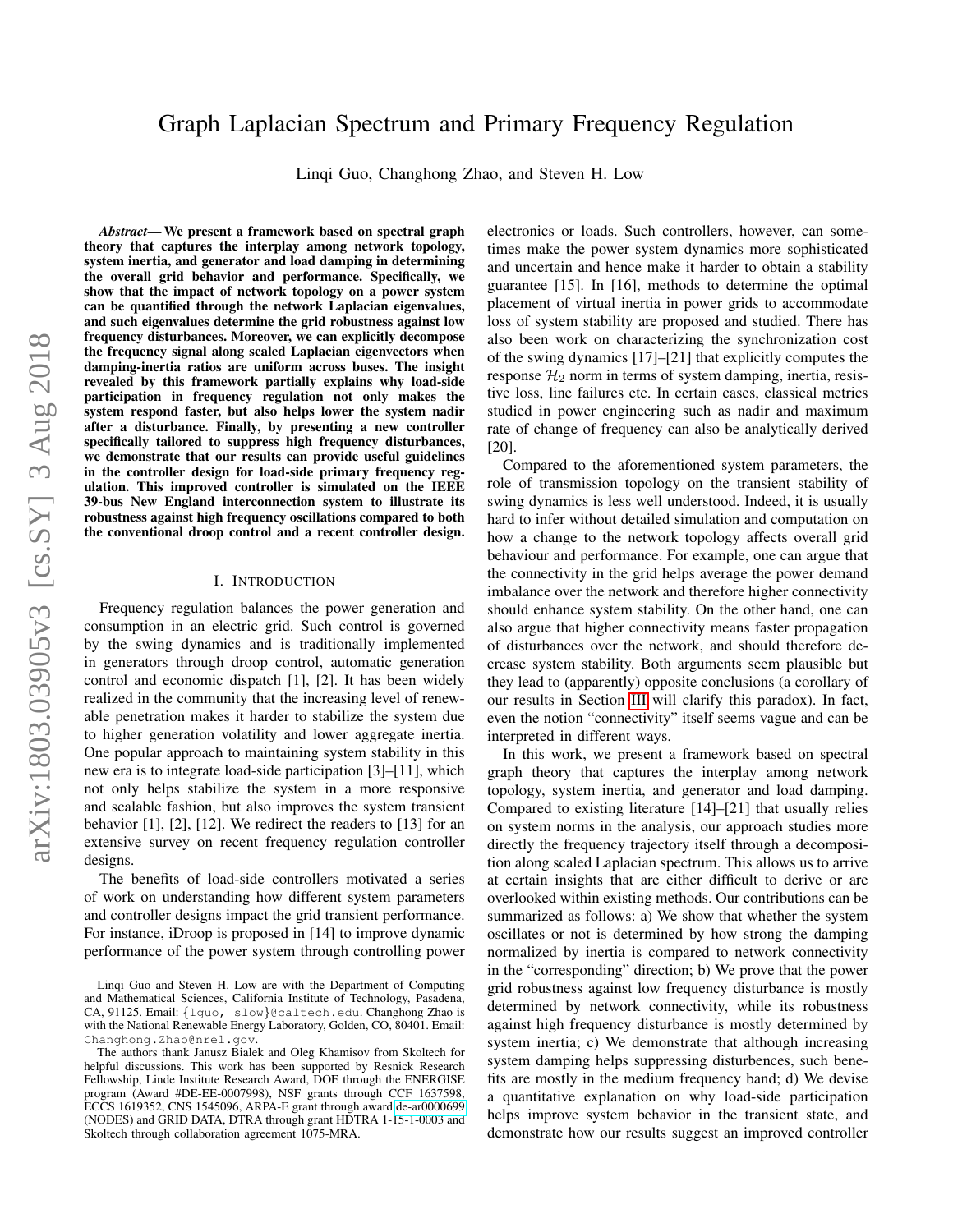# Graph Laplacian Spectrum and Primary Frequency Regulation

Linqi Guo, Changhong Zhao, and Steven H. Low

*Abstract*— We present a framework based on spectral graph theory that captures the interplay among network topology, system inertia, and generator and load damping in determining the overall grid behavior and performance. Specifically, we show that the impact of network topology on a power system can be quantified through the network Laplacian eigenvalues, and such eigenvalues determine the grid robustness against low frequency disturbances. Moreover, we can explicitly decompose the frequency signal along scaled Laplacian eigenvectors when damping-inertia ratios are uniform across buses. The insight revealed by this framework partially explains why load-side participation in frequency regulation not only makes the system respond faster, but also helps lower the system nadir after a disturbance. Finally, by presenting a new controller specifically tailored to suppress high frequency disturbances, we demonstrate that our results can provide useful guidelines in the controller design for load-side primary frequency regulation. This improved controller is simulated on the IEEE 39-bus New England interconnection system to illustrate its robustness against high frequency oscillations compared to both the conventional droop control and a recent controller design.

#### I. INTRODUCTION

Frequency regulation balances the power generation and consumption in an electric grid. Such control is governed by the swing dynamics and is traditionally implemented in generators through droop control, automatic generation control and economic dispatch [1], [2]. It has been widely realized in the community that the increasing level of renewable penetration makes it harder to stabilize the system due to higher generation volatility and lower aggregate inertia. One popular approach to maintaining system stability in this new era is to integrate load-side participation [3]–[11], which not only helps stabilize the system in a more responsive and scalable fashion, but also improves the system transient behavior [1], [2], [12]. We redirect the readers to [13] for an extensive survey on recent frequency regulation controller designs.

The benefits of load-side controllers motivated a series of work on understanding how different system parameters and controller designs impact the grid transient performance. For instance, iDroop is proposed in [14] to improve dynamic performance of the power system through controlling power electronics or loads. Such controllers, however, can sometimes make the power system dynamics more sophisticated and uncertain and hence make it harder to obtain a stability guarantee [15]. In [16], methods to determine the optimal placement of virtual inertia in power grids to accommodate loss of system stability are proposed and studied. There has also been work on characterizing the synchronization cost of the swing dynamics [17]–[21] that explicitly computes the response  $\mathcal{H}_2$  norm in terms of system damping, inertia, resistive loss, line failures etc. In certain cases, classical metrics studied in power engineering such as nadir and maximum rate of change of frequency can also be analytically derived [20].

Compared to the aforementioned system parameters, the role of transmission topology on the transient stability of swing dynamics is less well understood. Indeed, it is usually hard to infer without detailed simulation and computation on how a change to the network topology affects overall grid behaviour and performance. For example, one can argue that the connectivity in the grid helps average the power demand imbalance over the network and therefore higher connectivity should enhance system stability. On the other hand, one can also argue that higher connectivity means faster propagation of disturbances over the network, and should therefore decrease system stability. Both arguments seem plausible but they lead to (apparently) opposite conclusions (a corollary of our results in Section [III](#page-2-0) will clarify this paradox). In fact, even the notion "connectivity" itself seems vague and can be interpreted in different ways.

In this work, we present a framework based on spectral graph theory that captures the interplay among network topology, system inertia, and generator and load damping. Compared to existing literature [14]–[21] that usually relies on system norms in the analysis, our approach studies more directly the frequency trajectory itself through a decomposition along scaled Laplacian spectrum. This allows us to arrive at certain insights that are either difficult to derive or are overlooked within existing methods. Our contributions can be summarized as follows: a) We show that whether the system oscillates or not is determined by how strong the damping normalized by inertia is compared to network connectivity in the "corresponding" direction; b) We prove that the power grid robustness against low frequency disturbance is mostly determined by network connectivity, while its robustness against high frequency disturbance is mostly determined by system inertia; c) We demonstrate that although increasing system damping helps suppressing disturbences, such benefits are mostly in the medium frequency band; d) We devise a quantitative explanation on why load-side participation helps improve system behavior in the transient state, and demonstrate how our results suggest an improved controller

Linqi Guo and Steven H. Low are with the Department of Computing and Mathematical Sciences, California Institute of Technology, Pasadena, CA, 91125. Email: {lguo, slow}@caltech.edu. Changhong Zhao is with the National Renewable Energy Laboratory, Golden, CO, 80401. Email: Changhong.Zhao@nrel.gov.

The authors thank Janusz Bialek and Oleg Khamisov from Skoltech for helpful discussions. This work has been supported by Resnick Research Fellowship, Linde Institute Research Award, DOE through the ENERGISE program (Award #DE-EE-0007998), NSF grants through CCF 1637598, ECCS 1619352, CNS 1545096, ARPA-E grant through award [de-ar0000699](http://arxiv.org/abs/de-ar/0000699) (NODES) and GRID DATA, DTRA through grant HDTRA 1-15-1-0003 and Skoltech through collaboration agreement 1075-MRA.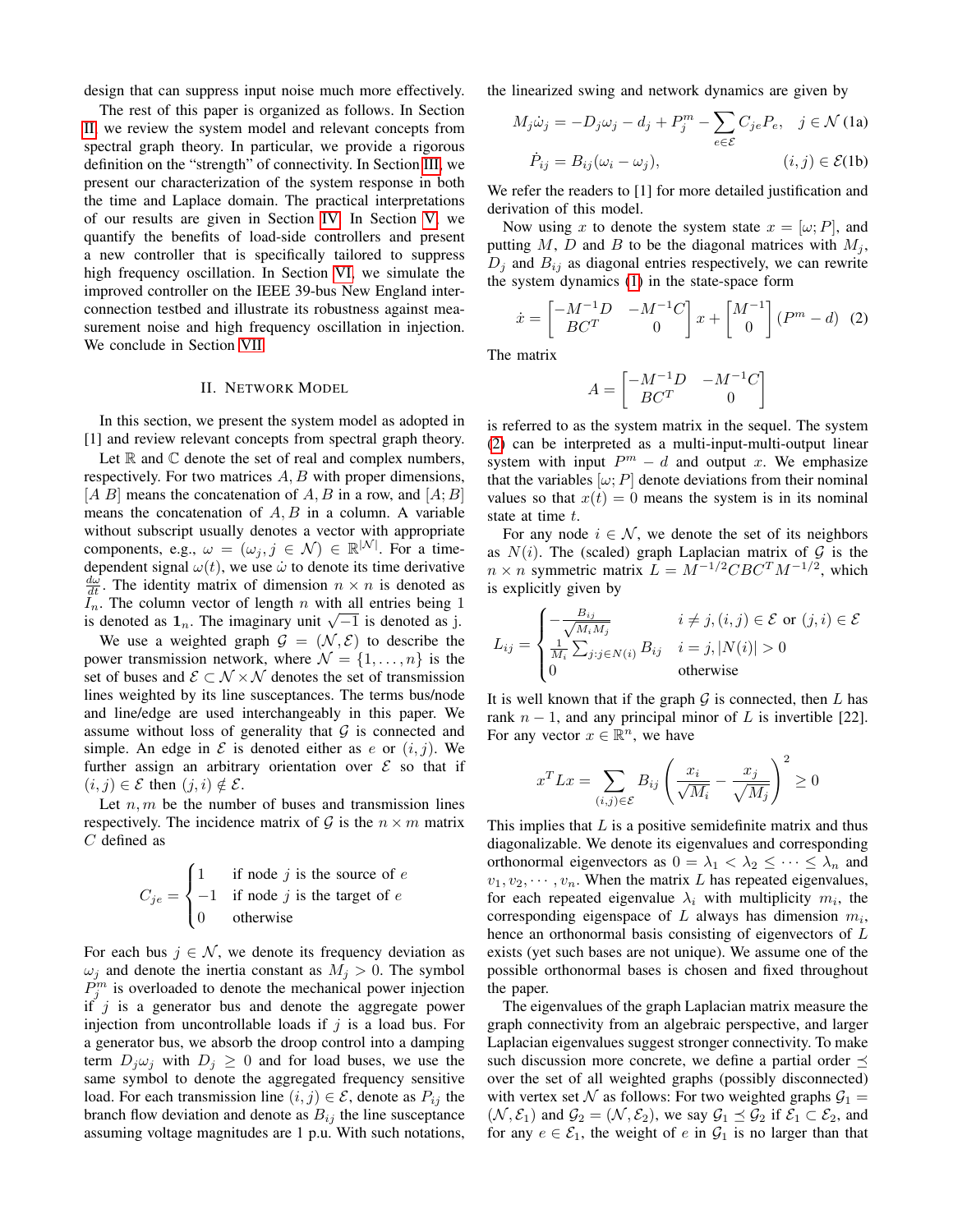design that can suppress input noise much more effectively.

The rest of this paper is organized as follows. In Section [II,](#page-1-0) we review the system model and relevant concepts from spectral graph theory. In particular, we provide a rigorous definition on the "strength" of connectivity. In Section [III,](#page-2-0) we present our characterization of the system response in both the time and Laplace domain. The practical interpretations of our results are given in Section [IV.](#page-3-0) In Section [V,](#page-5-0) we quantify the benefits of load-side controllers and present a new controller that is specifically tailored to suppress high frequency oscillation. In Section [VI,](#page-6-0) we simulate the improved controller on the IEEE 39-bus New England interconnection testbed and illustrate its robustness against measurement noise and high frequency oscillation in injection. We conclude in Section [VII.](#page-6-1)

# II. NETWORK MODEL

<span id="page-1-0"></span>In this section, we present the system model as adopted in [1] and review relevant concepts from spectral graph theory.

Let  $\mathbb R$  and  $\mathbb C$  denote the set of real and complex numbers, respectively. For two matrices A, B with proper dimensions,  $[A \, B]$  means the concatenation of A, B in a row, and  $[A; B]$ means the concatenation of  $A, B$  in a column. A variable without subscript usually denotes a vector with appropriate components, e.g.,  $\omega = (\omega_j, j \in \mathcal{N}) \in \mathbb{R}^{|\mathcal{N}|}$ . For a timedependent signal  $\omega(t)$ , we use  $\dot{\omega}$  to denote its time derivative  $\frac{d\omega}{dt}$ . The identity matrix of dimension  $n \times n$  is denoted as  $I_n$ . The column vector of length n with all entries being 1  $i_n$ . The column vector of length *n* with all entries being its denoted as  $1_n$ . The imaginary unit  $\sqrt{-1}$  is denoted as j.

We use a weighted graph  $\mathcal{G} = (\mathcal{N}, \mathcal{E})$  to describe the power transmission network, where  $\mathcal{N} = \{1, \ldots, n\}$  is the set of buses and  $\mathcal{E} \subset \mathcal{N} \times \mathcal{N}$  denotes the set of transmission lines weighted by its line susceptances. The terms bus/node and line/edge are used interchangeably in this paper. We assume without loss of generality that  $G$  is connected and simple. An edge in  $\mathcal E$  is denoted either as e or  $(i, j)$ . We further assign an arbitrary orientation over  $\mathcal E$  so that if  $(i, j) \in \mathcal{E}$  then  $(j, i) \notin \mathcal{E}$ .

Let  $n, m$  be the number of buses and transmission lines respectively. The incidence matrix of  $G$  is the  $n \times m$  matrix C defined as

$$
C_{je} = \begin{cases} 1 & \text{if node } j \text{ is the source of } e \\ -1 & \text{if node } j \text{ is the target of } e \\ 0 & \text{otherwise} \end{cases}
$$

For each bus  $j \in \mathcal{N}$ , we denote its frequency deviation as  $\omega_j$  and denote the inertia constant as  $M_j > 0$ . The symbol  $P_j^m$  is overloaded to denote the mechanical power injection if  $j$  is a generator bus and denote the aggregate power injection from uncontrollable loads if  $j$  is a load bus. For a generator bus, we absorb the droop control into a damping term  $D_i \omega_i$  with  $D_i \geq 0$  and for load buses, we use the same symbol to denote the aggregated frequency sensitive load. For each transmission line  $(i, j) \in \mathcal{E}$ , denote as  $P_{ij}$  the branch flow deviation and denote as  $B_{ij}$  the line susceptance assuming voltage magnitudes are 1 p.u. With such notations, the linearized swing and network dynamics are given by

<span id="page-1-1"></span>
$$
M_j \dot{\omega}_j = -D_j \omega_j - d_j + P_j^m - \sum_{e \in \mathcal{E}} C_{je} P_e, \quad j \in \mathcal{N}
$$
(1a)  

$$
\dot{P}_{ij} = B_{ij} (\omega_i - \omega_j), \qquad (i, j) \in \mathcal{E}
$$
(1b)

We refer the readers to [1] for more detailed justification and derivation of this model.

Now using x to denote the system state  $x = [\omega; P]$ , and putting  $M$ ,  $D$  and  $B$  to be the diagonal matrices with  $M_j$ ,  $D_j$  and  $B_{ij}$  as diagonal entries respectively, we can rewrite the system dynamics [\(1\)](#page-1-1) in the state-space form

$$
\dot{x} = \begin{bmatrix} -M^{-1}D & -M^{-1}C \\ BC^T & 0 \end{bmatrix} x + \begin{bmatrix} M^{-1} \\ 0 \end{bmatrix} (P^m - d) \tag{2}
$$

The matrix

$$
A = \begin{bmatrix} -M^{-1}D & -M^{-1}C \\ BC^T & 0 \end{bmatrix}
$$

is referred to as the system matrix in the sequel. The system [\(2\)](#page-1-1) can be interpreted as a multi-input-multi-output linear system with input  $P^m - d$  and output x. We emphasize that the variables  $[\omega; P]$  denote deviations from their nominal values so that  $x(t) = 0$  means the system is in its nominal state at time t.

For any node  $i \in \mathcal{N}$ , we denote the set of its neighbors as  $N(i)$ . The (scaled) graph Laplacian matrix of  $G$  is the  $n \times n$  symmetric matrix  $L = M^{-1/2}CBC^{T}M^{-1/2}$ , which is explicitly given by

$$
L_{ij} = \begin{cases} -\frac{B_{ij}}{\sqrt{M_i M_j}} & i \neq j, (i, j) \in \mathcal{E} \text{ or } (j, i) \in \mathcal{E} \\ \frac{1}{M_i} \sum_{j:j \in N(i)} B_{ij} & i = j, |N(i)| > 0 \\ 0 & \text{otherwise} \end{cases}
$$

It is well known that if the graph  $G$  is connected, then  $L$  has rank  $n - 1$ , and any principal minor of L is invertible [22]. For any vector  $x \in \mathbb{R}^n$ , we have

$$
x^{T}Lx = \sum_{(i,j)\in\mathcal{E}} B_{ij} \left(\frac{x_i}{\sqrt{M_i}} - \frac{x_j}{\sqrt{M_j}}\right)^2 \ge 0
$$

This implies that  $L$  is a positive semidefinite matrix and thus diagonalizable. We denote its eigenvalues and corresponding orthonormal eigenvectors as  $0 = \lambda_1 < \lambda_2 \leq \cdots \leq \lambda_n$  and  $v_1, v_2, \dots, v_n$ . When the matrix L has repeated eigenvalues, for each repeated eigenvalue  $\lambda_i$  with multiplicity  $m_i$ , the corresponding eigenspace of  $L$  always has dimension  $m_i$ , hence an orthonormal basis consisting of eigenvectors of L exists (yet such bases are not unique). We assume one of the possible orthonormal bases is chosen and fixed throughout the paper.

The eigenvalues of the graph Laplacian matrix measure the graph connectivity from an algebraic perspective, and larger Laplacian eigenvalues suggest stronger connectivity. To make such discussion more concrete, we define a partial order  $\preceq$ over the set of all weighted graphs (possibly disconnected) with vertex set N as follows: For two weighted graphs  $\mathcal{G}_1 =$  $(N, \mathcal{E}_1)$  and  $\mathcal{G}_2 = (\mathcal{N}, \mathcal{E}_2)$ , we say  $\mathcal{G}_1 \preceq \mathcal{G}_2$  if  $\mathcal{E}_1 \subset \mathcal{E}_2$ , and for any  $e \in \mathcal{E}_1$ , the weight of e in  $\mathcal{G}_1$  is no larger than that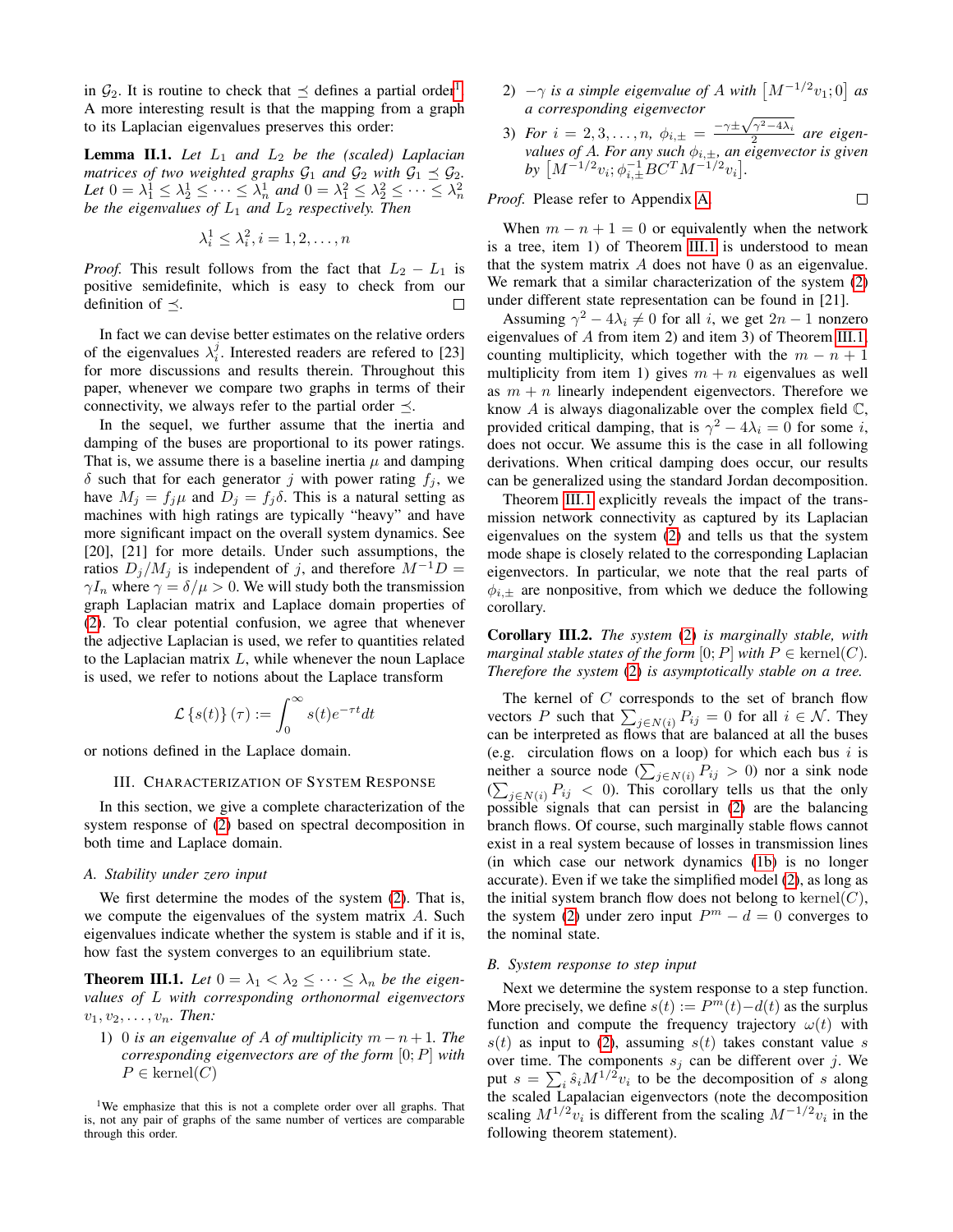in  $\mathcal{G}_2$ . It is routine to check that  $\preceq$  defines a partial order<sup>[1](#page-2-1)</sup>. A more interesting result is that the mapping from a graph to its Laplacian eigenvalues preserves this order:

**Lemma II.1.** Let  $L_1$  and  $L_2$  be the (scaled) Laplacian *matrices of two weighted graphs*  $G_1$  *and*  $G_2$  *with*  $G_1 \preceq G_2$ *.* Let  $0 = \lambda_1^1 \leq \lambda_2^1 \leq \cdots \leq \lambda_n^1$  and  $0 = \lambda_1^2 \leq \lambda_2^2 \leq \cdots \leq \lambda_n^2$ *be the eigenvalues of*  $L_1$  *and*  $L_2$  *respectively. Then* 

$$
\lambda_i^1 \leq \lambda_i^2, i = 1, 2, \dots, n
$$

*Proof.* This result follows from the fact that  $L_2 - L_1$  is positive semidefinite, which is easy to check from our definition of  $\prec$ .

In fact we can devise better estimates on the relative orders of the eigenvalues  $\lambda_i^j$ . Interested readers are refered to [23] for more discussions and results therein. Throughout this paper, whenever we compare two graphs in terms of their connectivity, we always refer to the partial order  $\preceq$ .

In the sequel, we further assume that the inertia and damping of the buses are proportional to its power ratings. That is, we assume there is a baseline inertia  $\mu$  and damping  $\delta$  such that for each generator j with power rating  $f_j$ , we have  $M_j = f_j \mu$  and  $D_j = f_j \delta$ . This is a natural setting as machines with high ratings are typically "heavy" and have more significant impact on the overall system dynamics. See [20], [21] for more details. Under such assumptions, the ratios  $D_j/M_j$  is independent of j, and therefore  $M^{-1}D =$  $\gamma I_n$  where  $\gamma = \delta/\mu > 0$ . We will study both the transmission graph Laplacian matrix and Laplace domain properties of [\(2\)](#page-1-1). To clear potential confusion, we agree that whenever the adjective Laplacian is used, we refer to quantities related to the Laplacian matrix  $L$ , while whenever the noun Laplace is used, we refer to notions about the Laplace transform

$$
\mathcal{L}\left\{s(t)\right\}(\tau) := \int_0^\infty s(t)e^{-\tau t}dt
$$

<span id="page-2-0"></span>or notions defined in the Laplace domain.

#### III. CHARACTERIZATION OF SYSTEM RESPONSE

In this section, we give a complete characterization of the system response of [\(2\)](#page-1-1) based on spectral decomposition in both time and Laplace domain.

#### *A. Stability under zero input*

We first determine the modes of the system [\(2\)](#page-1-1). That is, we compute the eigenvalues of the system matrix A. Such eigenvalues indicate whether the system is stable and if it is, how fast the system converges to an equilibrium state.

<span id="page-2-2"></span>**Theorem III.1.** Let  $0 = \lambda_1 < \lambda_2 \leq \cdots \leq \lambda_n$  be the eigen*values of* L *with corresponding orthonormal eigenvectors*  $v_1, v_2, \ldots, v_n$ . Then:

1) 0 *is an eigenvalue of A of multiplicity*  $m - n + 1$ *. The corresponding eigenvectors are of the form* [0; P] *with*  $P \in \text{kernel}(C)$ 

<span id="page-2-1"></span><sup>1</sup>We emphasize that this is not a complete order over all graphs. That is, not any pair of graphs of the same number of vertices are comparable through this order.

- 2)  $-\gamma$  *is a simple eigenvalue of A with*  $\left[M^{-1/2}v_1;0\right]$  *as a corresponding eigenvector*
- *a corresponding eigenvector*<br>3) *For*  $i = 2, 3, ..., n$ ,  $\phi_{i, \pm} = \frac{-\gamma \pm \sqrt{\gamma^2 4\lambda_i}}{2}$  $\frac{a_1}{2}$  are eigen*values of A. For any such*  $\phi_{i,\pm}$ *, an eigenvector is given*  $by \, \left[ M^{-1/2} v_i; \phi_{i,\pm}^{-1} B C^T M^{-1/2} v_i \right]$ .

 $\Box$ 

*Proof.* Please refer to Appendix [A.](#page-8-0)

When  $m - n + 1 = 0$  or equivalently when the network is a tree, item 1) of Theorem [III.1](#page-2-2) is understood to mean that the system matrix  $A$  does not have  $0$  as an eigenvalue. We remark that a similar characterization of the system  $(2)$ under different state representation can be found in [21].

Assuming  $\gamma^2 - 4\lambda_i \neq 0$  for all *i*, we get  $2n - 1$  nonzero eigenvalues of A from item 2) and item 3) of Theorem [III.1,](#page-2-2) counting multiplicity, which together with the  $m - n + 1$ multiplicity from item 1) gives  $m + n$  eigenvalues as well as  $m + n$  linearly independent eigenvectors. Therefore we know  $A$  is always diagonalizable over the complex field  $\mathbb{C}$ , provided critical damping, that is  $\gamma^2 - 4\lambda_i = 0$  for some i, does not occur. We assume this is the case in all following derivations. When critical damping does occur, our results can be generalized using the standard Jordan decomposition.

Theorem [III.1](#page-2-2) explicitly reveals the impact of the transmission network connectivity as captured by its Laplacian eigenvalues on the system [\(2\)](#page-1-1) and tells us that the system mode shape is closely related to the corresponding Laplacian eigenvectors. In particular, we note that the real parts of  $\phi_{i,\pm}$  are nonpositive, from which we deduce the following corollary.

Corollary III.2. *The system* [\(2\)](#page-1-1) *is marginally stable, with marginal stable states of the form*  $[0; P]$  *with*  $P \in \text{kernel}(C)$ *. Therefore the system* [\(2\)](#page-1-1) *is asymptotically stable on a tree.*

The kernel of  $C$  corresponds to the set of branch flow vectors P such that  $\sum_{j \in N(i)} P_{ij} = 0$  for all  $i \in \mathcal{N}$ . They can be interpreted as flows that are balanced at all the buses (e.g. circulation flows on a loop) for which each bus  $i$  is neither a source node  $(\sum_{j \in N(i)} P_{ij} > 0)$  nor a sink node  $(\sum_{j \in N(i)} P_{ij} < 0)$ . This corollary tells us that the only possible signals that can persist in [\(2\)](#page-1-1) are the balancing branch flows. Of course, such marginally stable flows cannot exist in a real system because of losses in transmission lines (in which case our network dynamics [\(1b\)](#page-1-1) is no longer accurate). Even if we take the simplified model [\(2\)](#page-1-1), as long as the initial system branch flow does not belong to  $\text{kernel}(C)$ , the system [\(2\)](#page-1-1) under zero input  $P^m - d = 0$  converges to the nominal state.

#### *B. System response to step input*

Next we determine the system response to a step function. More precisely, we define  $s(t) := P^m(t) - d(t)$  as the surplus function and compute the frequency trajectory  $\omega(t)$  with  $s(t)$  as input to [\(2\)](#page-1-1), assuming  $s(t)$  takes constant value s over time. The components  $s_i$  can be different over j. We put  $s = \sum_i \hat{s}_i M^{1/2} v_i$  to be the decomposition of s along the scaled Lapalacian eigenvectors (note the decomposition scaling  $M^{1/2}v_i$  is different from the scaling  $M^{-1/2}v_i$  in the following theorem statement).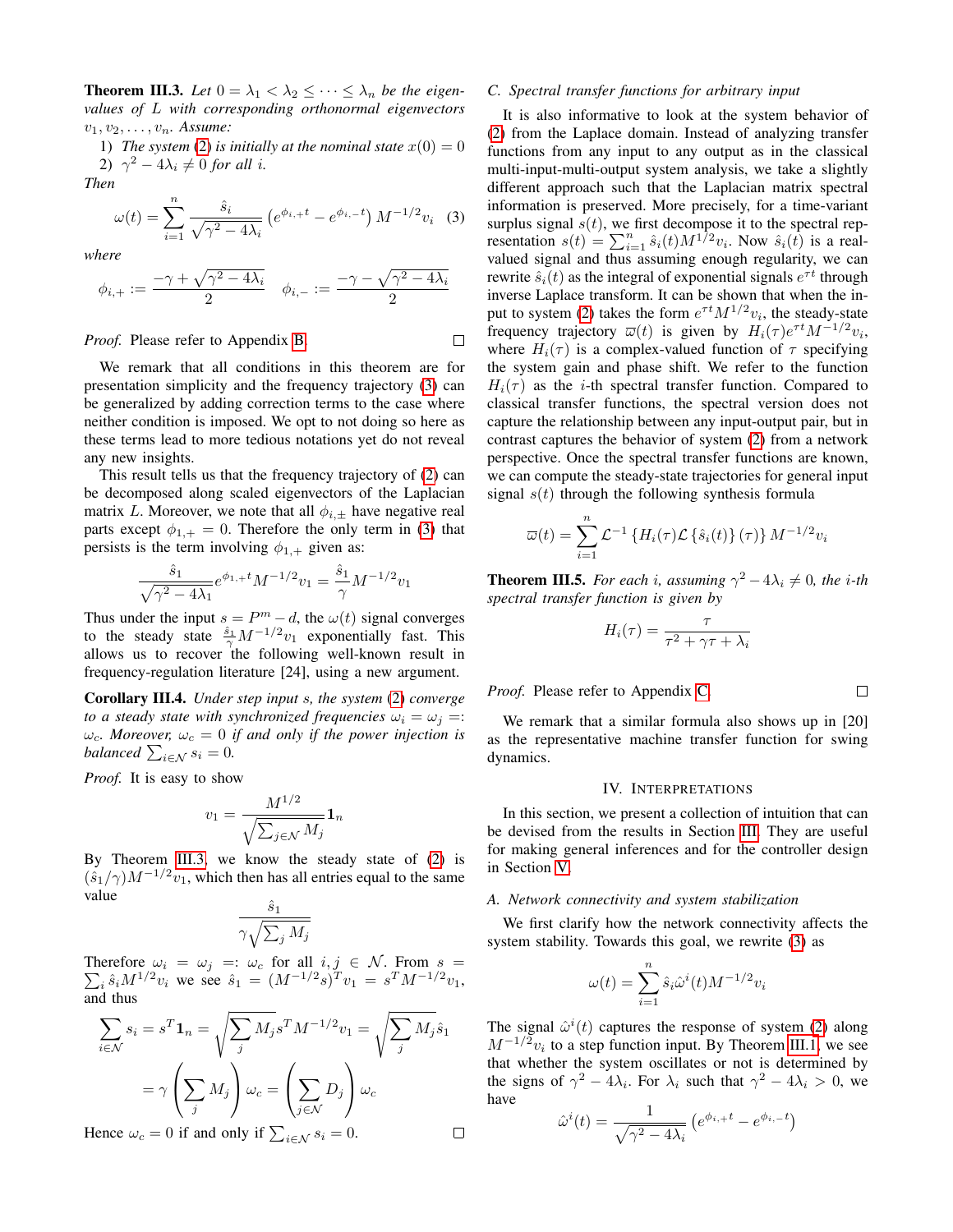<span id="page-3-2"></span>**Theorem III.3.** Let  $0 = \lambda_1 < \lambda_2 \leq \cdots \leq \lambda_n$  be the eigen*values of* L *with corresponding orthonormal eigenvectors*  $v_1, v_2, \ldots, v_n$ . Assume:

<span id="page-3-1"></span>1) *The system* [\(2\)](#page-1-1) *is initially at the nominal state*  $x(0) = 0$ 2)  $\gamma^2 - 4\lambda_i \neq 0$  *for all i.* 

*Then*

$$
\omega(t) = \sum_{i=1}^{n} \frac{\hat{s}_i}{\sqrt{\gamma^2 - 4\lambda_i}} \left( e^{\phi_{i,+}t} - e^{\phi_{i,-}t} \right) M^{-1/2} v_i \tag{3}
$$

*where*

$$
\phi_{i,+} := \frac{-\gamma + \sqrt{\gamma^2 - 4\lambda_i}}{2} \quad \phi_{i,-} := \frac{-\gamma - \sqrt{\gamma^2 - 4\lambda_i}}{2}
$$

*Proof.* Please refer to Appendix [B.](#page-8-1)

$$
\mathcal{L}^{\mathcal{L}}_{\mathcal{L}}
$$

We remark that all conditions in this theorem are for presentation simplicity and the frequency trajectory [\(3\)](#page-3-1) can be generalized by adding correction terms to the case where neither condition is imposed. We opt to not doing so here as these terms lead to more tedious notations yet do not reveal any new insights.

This result tells us that the frequency trajectory of [\(2\)](#page-1-1) can be decomposed along scaled eigenvectors of the Laplacian matrix L. Moreover, we note that all  $\phi_{i,\pm}$  have negative real parts except  $\phi_{1,+} = 0$ . Therefore the only term in [\(3\)](#page-3-1) that persists is the term involving  $\phi_{1,+}$  given as:

$$
\frac{\hat{s}_1}{\sqrt{\gamma^2 - 4\lambda_1}} e^{\phi_{1,+}t} M^{-1/2} v_1 = \frac{\hat{s}_1}{\gamma} M^{-1/2} v_1
$$

Thus under the input  $s = P^m - d$ , the  $\omega(t)$  signal converges to the steady state  $\frac{\hat{s}_1}{\gamma} M^{-1/2} v_1$  exponentially fast. This allows us to recover the following well-known result in frequency-regulation literature [24], using a new argument.

Corollary III.4. *Under step input* s*, the system* [\(2\)](#page-1-1) *converge to a steady state with synchronized frequencies*  $\omega_i = \omega_j =$ :  $\omega_c$ *. Moreover,*  $\omega_c = 0$  *if and only if the power injection is balanced*  $\sum_{i \in \mathcal{N}} s_i = 0$ .

*Proof.* It is easy to show

$$
v_1 = \frac{M^{1/2}}{\sqrt{\sum_{j \in \mathcal{N}} M_j}} \mathbf{1}_n
$$

By Theorem [III.3,](#page-3-2) we know the steady state of [\(2\)](#page-1-1) is  $(\hat{s}_1/\gamma)M^{-1/2}v_1$ , which then has all entries equal to the same value  $\hat{S}_1$ 

$$
\frac{s_1}{\gamma \sqrt{\sum_j M_j}}
$$

P Therefore  $\omega_i = \omega_j =: \omega_c$  for all  $i, j \in \mathcal{N}$ . From  $s =$  $s_i \hat{s}_i M^{1/2} v_i$  we see  $\hat{s}_1 = (M^{-1/2} s)^T v_1 = s^T M^{-1/2} v_1$ , and thus

$$
\sum_{i \in \mathcal{N}} s_i = s^T \mathbf{1}_n = \sqrt{\sum_j M_j} s^T M^{-1/2} v_1 = \sqrt{\sum_j M_j} \hat{s}_1
$$

$$
= \gamma \left( \sum_j M_j \right) \omega_c = \left( \sum_{j \in \mathcal{N}} D_j \right) \omega_c
$$
  
ence  $\omega_c = 0$  if and only if  $\sum_{i \in \mathcal{N}} s_i = 0$ .

Hence  $\omega_c = 0$  if and only if  $\sum_{i \in \mathcal{N}} s_i = 0$ .

# *C. Spectral transfer functions for arbitrary input*

It is also informative to look at the system behavior of [\(2\)](#page-1-1) from the Laplace domain. Instead of analyzing transfer functions from any input to any output as in the classical multi-input-multi-output system analysis, we take a slightly different approach such that the Laplacian matrix spectral information is preserved. More precisely, for a time-variant surplus signal  $s(t)$ , we first decompose it to the spectral representation  $s(t) = \sum_{i=1}^{n} \hat{s}_i(t) M^{1/2} v_i$ . Now  $\hat{s}_i(t)$  is a realvalued signal and thus assuming enough regularity, we can rewrite  $\hat{s}_i(t)$  as the integral of exponential signals  $e^{\tau t}$  through inverse Laplace transform. It can be shown that when the in-put to system [\(2\)](#page-1-1) takes the form  $e^{\tau t} M^{1/2} v_i$ , the steady-state frequency trajectory  $\overline{\omega}(t)$  is given by  $H_i(\tau) e^{\tau t} M^{-1/2} v_i$ , where  $H_i(\tau)$  is a complex-valued function of  $\tau$  specifying the system gain and phase shift. We refer to the function  $H_i(\tau)$  as the *i*-th spectral transfer function. Compared to classical transfer functions, the spectral version does not capture the relationship between any input-output pair, but in contrast captures the behavior of system [\(2\)](#page-1-1) from a network perspective. Once the spectral transfer functions are known, we can compute the steady-state trajectories for general input signal  $s(t)$  through the following synthesis formula

$$
\overline{\omega}(t) = \sum_{i=1}^{n} \mathcal{L}^{-1} \left\{ H_i(\tau) \mathcal{L} \left\{ \hat{s}_i(t) \right\} (\tau) \right\} M^{-1/2} v_i
$$

<span id="page-3-3"></span>**Theorem III.5.** For each i, assuming  $\gamma^2 - 4\lambda_i \neq 0$ , the i-th *spectral transfer function is given by*

$$
H_i(\tau) = \frac{\tau}{\tau^2 + \gamma \tau + \lambda_i}
$$

*Proof.* Please refer to Appendix [C.](#page-9-0)

 $\Box$ 

We remark that a similar formula also shows up in [20] as the representative machine transfer function for swing dynamics.

#### IV. INTERPRETATIONS

<span id="page-3-0"></span>In this section, we present a collection of intuition that can be devised from the results in Section [III.](#page-2-0) They are useful for making general inferences and for the controller design in Section [V.](#page-5-0)

# *A. Network connectivity and system stabilization*

We first clarify how the network connectivity affects the system stability. Towards this goal, we rewrite [\(3\)](#page-3-1) as

$$
\omega(t) = \sum_{i=1}^{n} \hat{s}_i \hat{\omega}^i(t) M^{-1/2} v_i
$$

The signal  $\hat{\omega}^i(t)$  captures the response of system [\(2\)](#page-1-1) along  $M^{-1/2}v_i$  to a step function input. By Theorem [III.1,](#page-2-2) we see that whether the system oscillates or not is determined by the signs of  $\gamma^2 - 4\lambda_i$ . For  $\lambda_i$  such that  $\gamma^2 - 4\lambda_i > 0$ , we have

$$
\hat{\omega}^i(t) = \frac{1}{\sqrt{\gamma^2 - 4\lambda_i}} \left( e^{\phi_{i,+}t} - e^{\phi_{i,-}t} \right)
$$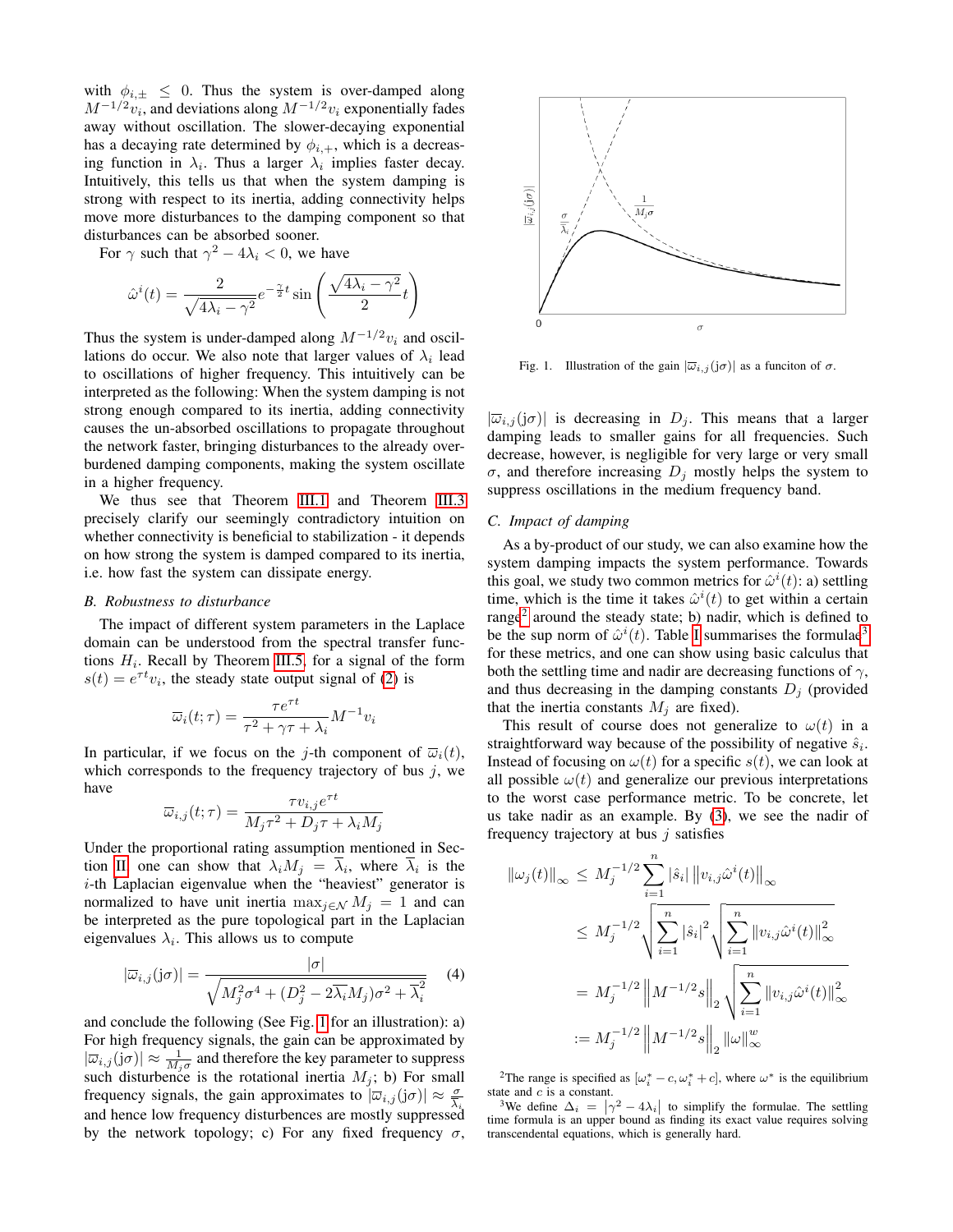with  $\phi_{i,\pm} \leq 0$ . Thus the system is over-damped along  $M^{-1/2}v_i$ , and deviations along  $M^{-1/2}v_i$  exponentially fades away without oscillation. The slower-decaying exponential has a decaying rate determined by  $\phi_{i,+}$ , which is a decreasing function in  $\lambda_i$ . Thus a larger  $\lambda_i$  implies faster decay. Intuitively, this tells us that when the system damping is strong with respect to its inertia, adding connectivity helps move more disturbances to the damping component so that disturbances can be absorbed sooner.

For  $\gamma$  such that  $\gamma^2 - 4\lambda_i < 0$ , we have

$$
\hat{\omega}^i(t) = \frac{2}{\sqrt{4\lambda_i - \gamma^2}} e^{-\frac{\gamma}{2}t} \sin\left(\frac{\sqrt{4\lambda_i - \gamma^2}}{2}t\right)
$$

Thus the system is under-damped along  $M^{-1/2}v_i$  and oscillations do occur. We also note that larger values of  $\lambda_i$  lead to oscillations of higher frequency. This intuitively can be interpreted as the following: When the system damping is not strong enough compared to its inertia, adding connectivity causes the un-absorbed oscillations to propagate throughout the network faster, bringing disturbances to the already overburdened damping components, making the system oscillate in a higher frequency.

We thus see that Theorem [III.1](#page-2-2) and Theorem [III.3](#page-3-2) precisely clarify our seemingly contradictory intuition on whether connectivity is beneficial to stabilization - it depends on how strong the system is damped compared to its inertia, i.e. how fast the system can dissipate energy.

#### *B. Robustness to disturbance*

The impact of different system parameters in the Laplace domain can be understood from the spectral transfer functions  $H_i$ . Recall by Theorem [III.5,](#page-3-3) for a signal of the form  $s(t) = e^{\tau t} v_i$ , the steady state output signal of [\(2\)](#page-1-1) is

$$
\overline{\omega}_i(t;\tau) = \frac{\tau e^{\tau t}}{\tau^2 + \gamma \tau + \lambda_i} M^{-1} v_i
$$

In particular, if we focus on the j-th component of  $\overline{\omega}_i(t)$ , which corresponds to the frequency trajectory of bus  $j$ , we have  $\tau t$ 

$$
\overline{\omega}_{i,j}(t;\tau) = \frac{\tau v_{i,j}e^{\tau t}}{M_j \tau^2 + D_j \tau + \lambda_i M_j}
$$

Under the proportional rating assumption mentioned in Sec-tion [II,](#page-1-0) one can show that  $\lambda_i M_j = \lambda_i$ , where  $\lambda_i$  is the i-th Laplacian eigenvalue when the "heaviest" generator is normalized to have unit inertia  $\max_{i \in \mathcal{N}} M_i = 1$  and can be interpreted as the pure topological part in the Laplacian eigenvalues  $\lambda_i$ . This allows us to compute

$$
|\overline{\omega}_{i,j}(j\sigma)| = \frac{|\sigma|}{\sqrt{M_j^2 \sigma^4 + (D_j^2 - 2\overline{\lambda_i}M_j)\sigma^2 + \overline{\lambda}_i^2}} \quad (4)
$$

and conclude the following (See Fig. [1](#page-4-0) for an illustration): a) For high frequency signals, the gain can be approximated by  $|\overline{\omega}_{i,j}(j\sigma)| \approx \frac{1}{M_j\sigma}$  and therefore the key parameter to suppress such disturbence is the rotational inertia  $M_j$ ; b) For small frequency signals, the gain approximates to  $|\overline{\omega}_{i,j}(j\sigma)| \approx \frac{\sigma}{\overline{\lambda}_i}$ and hence low frequency disturbences are mostly suppressed by the network topology; c) For any fixed frequency  $\sigma$ ,



<span id="page-4-0"></span>Fig. 1. Illustration of the gain  $|\overline{\omega}_{i,j}(j\sigma)|$  as a funciton of  $\sigma$ .

 $|\overline{\omega}_{i,j}(\mathrm{j}\sigma)|$  is decreasing in  $D_j$ . This means that a larger damping leads to smaller gains for all frequencies. Such decrease, however, is negligible for very large or very small σ, and therefore increasing  $D_i$  mostly helps the system to suppress oscillations in the medium frequency band.

# *C. Impact of damping*

As a by-product of our study, we can also examine how the system damping impacts the system performance. Towards this goal, we study two common metrics for  $\hat{\omega}^i(t)$ : a) settling time, which is the time it takes  $\hat{\omega}^{i}(t)$  to get within a certain range<sup>[2](#page-4-1)</sup> around the steady state; b) nadir, which is defined to be the sup norm of  $\hat{\omega}^i(t)$ . Table [I](#page-5-1) summarises the formulae<sup>[3](#page-4-2)</sup> for these metrics, and one can show using basic calculus that both the settling time and nadir are decreasing functions of  $\gamma$ , and thus decreasing in the damping constants  $D_i$  (provided that the inertia constants  $M_i$  are fixed).

This result of course does not generalize to  $\omega(t)$  in a straightforward way because of the possibility of negative  $\hat{s}_i$ . Instead of focusing on  $\omega(t)$  for a specific  $s(t)$ , we can look at all possible  $\omega(t)$  and generalize our previous interpretations to the worst case performance metric. To be concrete, let us take nadir as an example. By [\(3\)](#page-3-1), we see the nadir of frequency trajectory at bus  $i$  satisfies

$$
\begin{aligned}\n\|\omega_j(t)\|_{\infty} &\leq M_j^{-1/2} \sum_{i=1}^n |\hat{s}_i| \, \|v_{i,j}\hat{\omega}^i(t)\|_{\infty} \\
&\leq M_j^{-1/2} \sqrt{\sum_{i=1}^n |\hat{s}_i|^2} \sqrt{\sum_{i=1}^n \|v_{i,j}\hat{\omega}^i(t)\|_{\infty}^2} \\
&= M_j^{-1/2} \left\| M^{-1/2} s \right\|_2 \sqrt{\sum_{i=1}^n \|v_{i,j}\hat{\omega}^i(t)\|_{\infty}^2} \\
&\:= M_j^{-1/2} \left\| M^{-1/2} s \right\|_2 \|\omega\|_{\infty}^w\n\end{aligned}
$$

<span id="page-4-1"></span><sup>2</sup>The range is specified as  $[\omega_i^* - c, \omega_i^* + c]$ , where  $\omega^*$  is the equilibrium state and c is a constant.

<span id="page-4-2"></span><sup>3</sup>We define  $\Delta_i = |\gamma^2 - 4\lambda_i|$  to simplify the formulae. The settling time formula is an upper bound as finding its exact value requires solving transcendental equations, which is generally hard.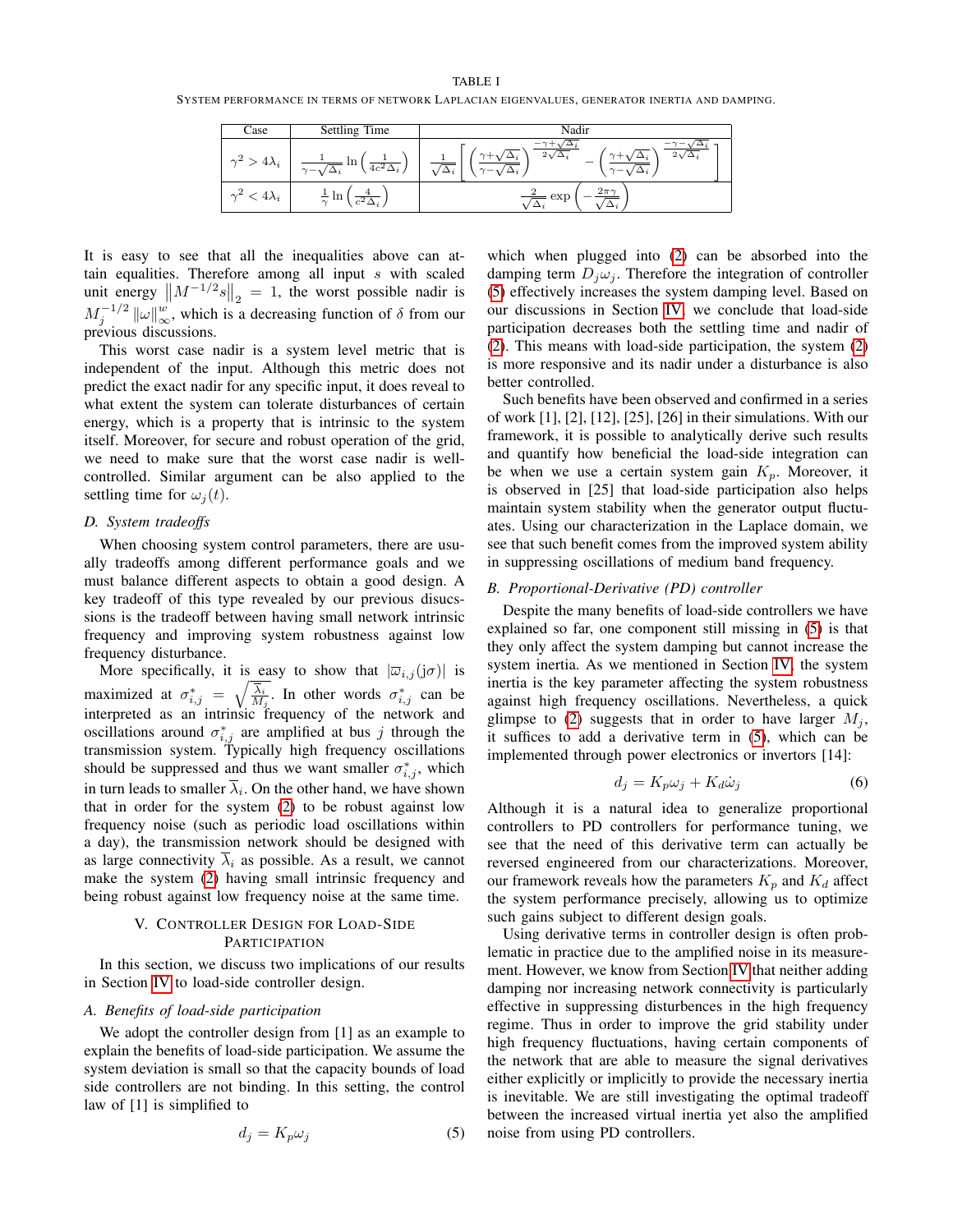<span id="page-5-1"></span>SYSTEM PERFORMANCE IN TERMS OF NETWORK LAPLACIAN EIGENVALUES, GENERATOR INERTIA AND DAMPING.

| Case                   | Settling Time                              | Nadir                     |
|------------------------|--------------------------------------------|---------------------------|
| $4\lambda_i$           | In<br>$4c^2\Delta_i$<br>$\gamma - \lambda$ | ৴<br>$\sim$ $-$<br>$\sim$ |
| $4\lambda_i$<br>$\sim$ | $\sim$<br>$\mathfrak{m}$                   | $2\pi\gamma$<br>exp       |

It is easy to see that all the inequalities above can attain equalities. Therefore among all input  $s$  with scaled unit energy  $\left\| M^{-1/2}s \right\|_2 = 1$ , the worst possible nadir is  $M_j^{-1/2}$   $\|\omega\|_{\infty}^w$ , which is a decreasing function of  $\delta$  from our previous discussions.

This worst case nadir is a system level metric that is independent of the input. Although this metric does not predict the exact nadir for any specific input, it does reveal to what extent the system can tolerate disturbances of certain energy, which is a property that is intrinsic to the system itself. Moreover, for secure and robust operation of the grid, we need to make sure that the worst case nadir is wellcontrolled. Similar argument can be also applied to the settling time for  $\omega_i(t)$ .

# *D. System tradeoffs*

When choosing system control parameters, there are usually tradeoffs among different performance goals and we must balance different aspects to obtain a good design. A key tradeoff of this type revealed by our previous disucssions is the tradeoff between having small network intrinsic frequency and improving system robustness against low frequency disturbance.

More specifically, it is easy to show that  $|\overline{\omega}_{i,j}(\mathfrak{j}\sigma)|$  is maximized at  $\sigma_{i,j}^* = \sqrt{\frac{\overline{\lambda_i}}{M_j}}$ . In other words  $\sigma_{i,j}^*$  can be interpreted as an intrinsic frequency of the network and oscillations around  $\sigma_{i,j}^*$  are amplified at bus j through the transmission system. Typically high frequency oscillations should be suppressed and thus we want smaller  $\sigma_{i,j}^*$ , which in turn leads to smaller  $\lambda_i$ . On the other hand, we have shown that in order for the system [\(2\)](#page-1-1) to be robust against low frequency noise (such as periodic load oscillations within a day), the transmission network should be designed with as large connectivity  $\overline{\lambda}_i$  as possible. As a result, we cannot make the system [\(2\)](#page-1-1) having small intrinsic frequency and being robust against low frequency noise at the same time.

# V. CONTROLLER DESIGN FOR LOAD-SIDE **PARTICIPATION**

<span id="page-5-0"></span>In this section, we discuss two implications of our results in Section [IV](#page-3-0) to load-side controller design.

#### *A. Benefits of load-side participation*

We adopt the controller design from [1] as an example to explain the benefits of load-side participation. We assume the system deviation is small so that the capacity bounds of load side controllers are not binding. In this setting, the control law of [1] is simplified to

<span id="page-5-2"></span>
$$
d_j = K_p \omega_j \tag{5}
$$

which when plugged into [\(2\)](#page-1-1) can be absorbed into the damping term  $D_i \omega_i$ . Therefore the integration of controller [\(5\)](#page-5-2) effectively increases the system damping level. Based on our discussions in Section [IV,](#page-3-0) we conclude that load-side participation decreases both the settling time and nadir of [\(2\)](#page-1-1). This means with load-side participation, the system [\(2\)](#page-1-1) is more responsive and its nadir under a disturbance is also better controlled.

Such benefits have been observed and confirmed in a series of work [1], [2], [12], [25], [26] in their simulations. With our framework, it is possible to analytically derive such results and quantify how beneficial the load-side integration can be when we use a certain system gain  $K_p$ . Moreover, it is observed in [25] that load-side participation also helps maintain system stability when the generator output fluctuates. Using our characterization in the Laplace domain, we see that such benefit comes from the improved system ability in suppressing oscillations of medium band frequency.

#### *B. Proportional-Derivative (PD) controller*

Despite the many benefits of load-side controllers we have explained so far, one component still missing in [\(5\)](#page-5-2) is that they only affect the system damping but cannot increase the system inertia. As we mentioned in Section [IV,](#page-3-0) the system inertia is the key parameter affecting the system robustness against high frequency oscillations. Nevertheless, a quick glimpse to [\(2\)](#page-1-1) suggests that in order to have larger  $M_i$ , it suffices to add a derivative term in [\(5\)](#page-5-2), which can be implemented through power electronics or invertors [14]:

<span id="page-5-3"></span>
$$
d_j = K_p \omega_j + K_d \dot{\omega}_j \tag{6}
$$

Although it is a natural idea to generalize proportional controllers to PD controllers for performance tuning, we see that the need of this derivative term can actually be reversed engineered from our characterizations. Moreover, our framework reveals how the parameters  $K_p$  and  $K_d$  affect the system performance precisely, allowing us to optimize such gains subject to different design goals.

Using derivative terms in controller design is often problematic in practice due to the amplified noise in its measurement. However, we know from Section [IV](#page-3-0) that neither adding damping nor increasing network connectivity is particularly effective in suppressing disturbences in the high frequency regime. Thus in order to improve the grid stability under high frequency fluctuations, having certain components of the network that are able to measure the signal derivatives either explicitly or implicitly to provide the necessary inertia is inevitable. We are still investigating the optimal tradeoff between the increased virtual inertia yet also the amplified noise from using PD controllers.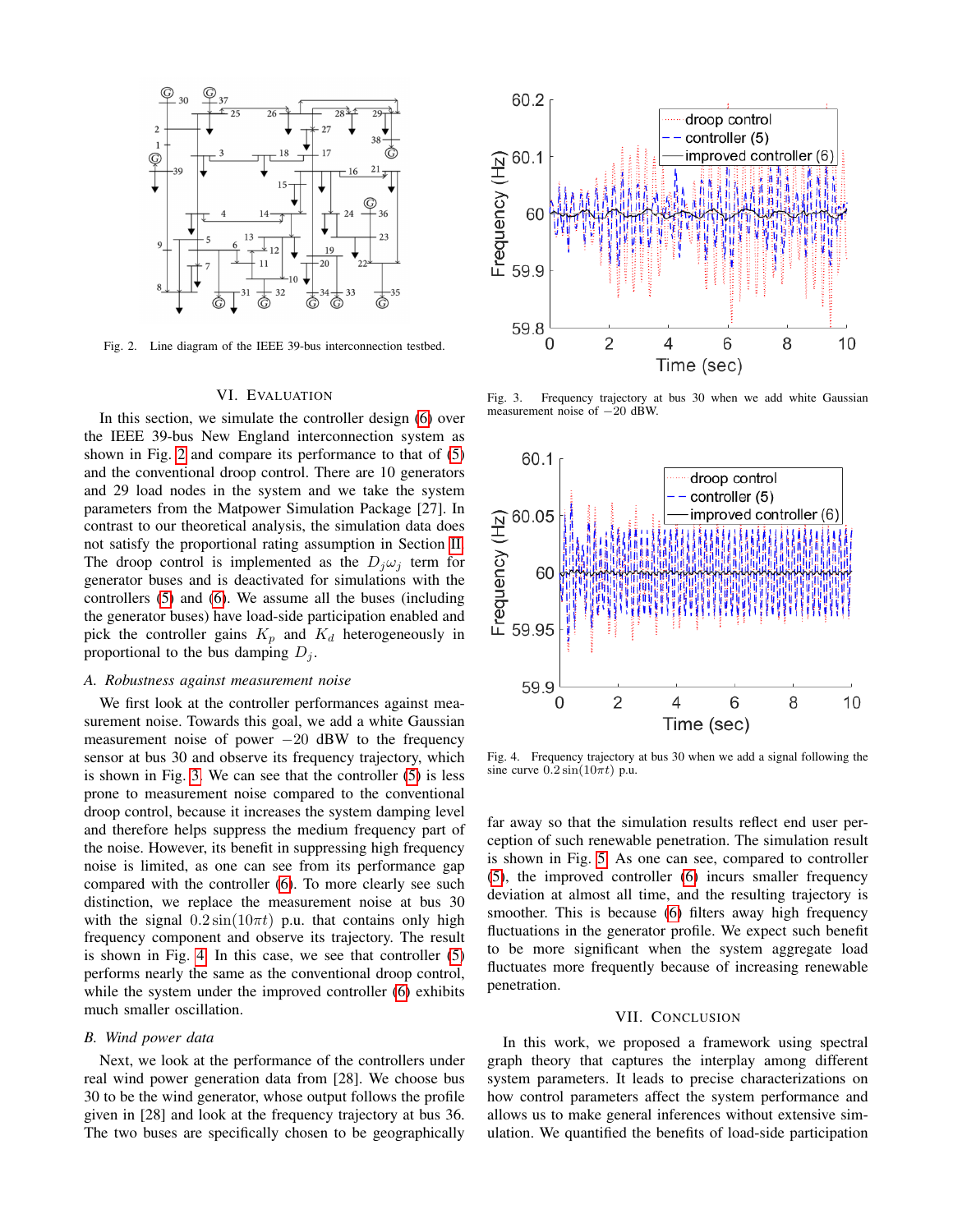

<span id="page-6-2"></span>Fig. 2. Line diagram of the IEEE 39-bus interconnection testbed.

#### VI. EVALUATION

<span id="page-6-0"></span>In this section, we simulate the controller design [\(6\)](#page-5-3) over the IEEE 39-bus New England interconnection system as shown in Fig. [2](#page-6-2) and compare its performance to that of [\(5\)](#page-5-2) and the conventional droop control. There are 10 generators and 29 load nodes in the system and we take the system parameters from the Matpower Simulation Package [27]. In contrast to our theoretical analysis, the simulation data does not satisfy the proportional rating assumption in Section [II.](#page-1-0) The droop control is implemented as the  $D_j \omega_j$  term for generator buses and is deactivated for simulations with the controllers [\(5\)](#page-5-2) and [\(6\)](#page-5-3). We assume all the buses (including the generator buses) have load-side participation enabled and pick the controller gains  $K_p$  and  $K_d$  heterogeneously in proportional to the bus damping  $D_i$ .

#### *A. Robustness against measurement noise*

We first look at the controller performances against measurement noise. Towards this goal, we add a white Gaussian measurement noise of power  $-20$  dBW to the frequency sensor at bus 30 and observe its frequency trajectory, which is shown in Fig. [3.](#page-6-3) We can see that the controller [\(5\)](#page-5-2) is less prone to measurement noise compared to the conventional droop control, because it increases the system damping level and therefore helps suppress the medium frequency part of the noise. However, its benefit in suppressing high frequency noise is limited, as one can see from its performance gap compared with the controller [\(6\)](#page-5-3). To more clearly see such distinction, we replace the measurement noise at bus 30 with the signal  $0.2 \sin(10\pi t)$  p.u. that contains only high frequency component and observe its trajectory. The result is shown in Fig. [4.](#page-6-4) In this case, we see that controller [\(5\)](#page-5-2) performs nearly the same as the conventional droop control, while the system under the improved controller [\(6\)](#page-5-3) exhibits much smaller oscillation.

#### *B. Wind power data*

Next, we look at the performance of the controllers under real wind power generation data from [28]. We choose bus 30 to be the wind generator, whose output follows the profile given in [28] and look at the frequency trajectory at bus 36. The two buses are specifically chosen to be geographically



<span id="page-6-3"></span>Fig. 3. Frequency trajectory at bus 30 when we add white Gaussian measurement noise of −20 dBW.



<span id="page-6-4"></span>Fig. 4. Frequency trajectory at bus 30 when we add a signal following the sine curve  $0.2 \sin(10\pi t)$  p.u.

far away so that the simulation results reflect end user perception of such renewable penetration. The simulation result is shown in Fig. [5.](#page-7-0) As one can see, compared to controller [\(5\)](#page-5-2), the improved controller [\(6\)](#page-5-3) incurs smaller frequency deviation at almost all time, and the resulting trajectory is smoother. This is because [\(6\)](#page-5-3) filters away high frequency fluctuations in the generator profile. We expect such benefit to be more significant when the system aggregate load fluctuates more frequently because of increasing renewable penetration.

#### VII. CONCLUSION

<span id="page-6-1"></span>In this work, we proposed a framework using spectral graph theory that captures the interplay among different system parameters. It leads to precise characterizations on how control parameters affect the system performance and allows us to make general inferences without extensive simulation. We quantified the benefits of load-side participation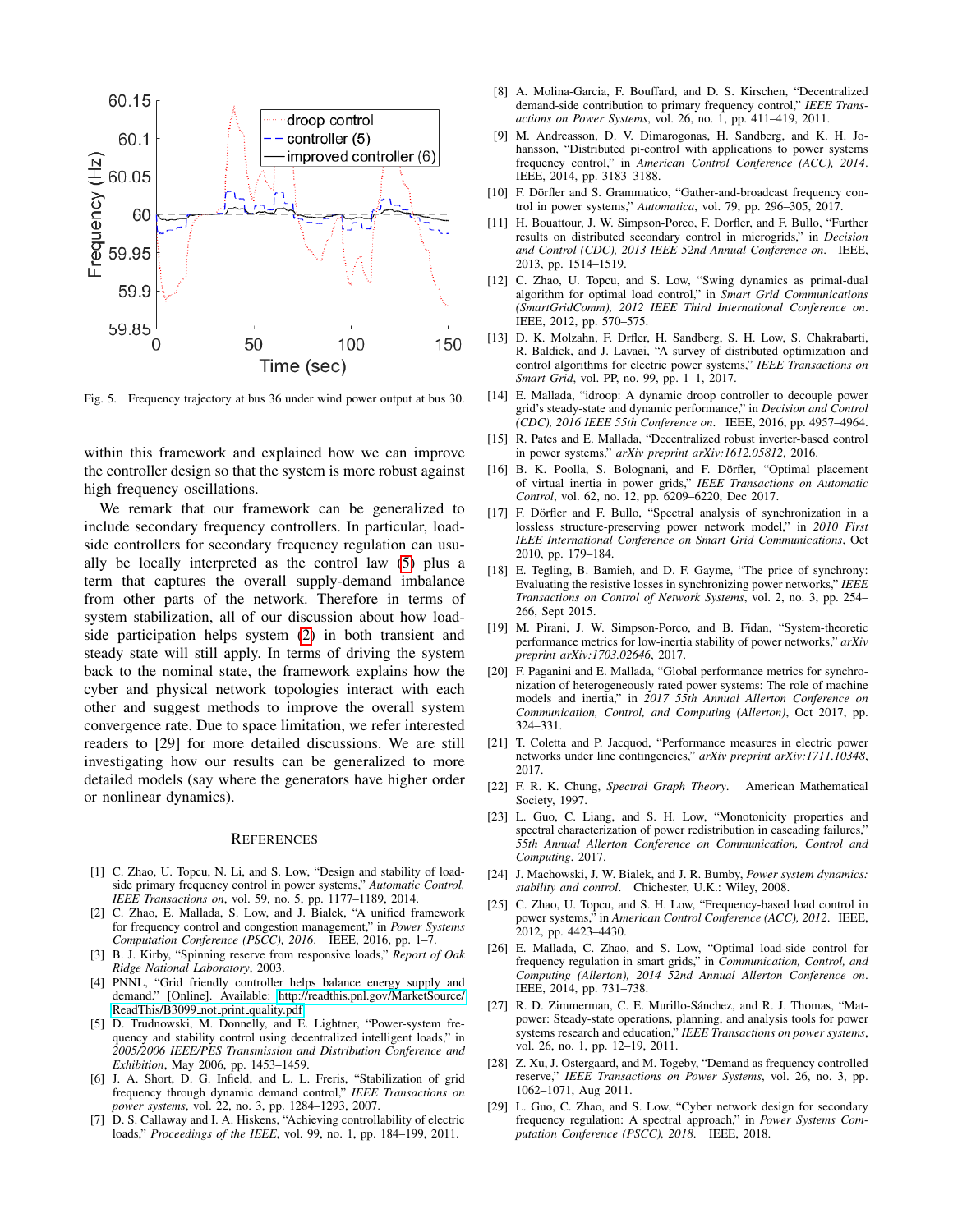

<span id="page-7-0"></span>Fig. 5. Frequency trajectory at bus 36 under wind power output at bus 30.

within this framework and explained how we can improve the controller design so that the system is more robust against high frequency oscillations.

We remark that our framework can be generalized to include secondary frequency controllers. In particular, loadside controllers for secondary frequency regulation can usually be locally interpreted as the control law [\(5\)](#page-5-2) plus a term that captures the overall supply-demand imbalance from other parts of the network. Therefore in terms of system stabilization, all of our discussion about how loadside participation helps system [\(2\)](#page-1-1) in both transient and steady state will still apply. In terms of driving the system back to the nominal state, the framework explains how the cyber and physical network topologies interact with each other and suggest methods to improve the overall system convergence rate. Due to space limitation, we refer interested readers to [29] for more detailed discussions. We are still investigating how our results can be generalized to more detailed models (say where the generators have higher order or nonlinear dynamics).

#### **REFERENCES**

- [1] C. Zhao, U. Topcu, N. Li, and S. Low, "Design and stability of loadside primary frequency control in power systems," *Automatic Control, IEEE Transactions on*, vol. 59, no. 5, pp. 1177–1189, 2014.
- [2] C. Zhao, E. Mallada, S. Low, and J. Bialek, "A unified framework for frequency control and congestion management," in *Power Systems Computation Conference (PSCC), 2016*. IEEE, 2016, pp. 1–7.
- [3] B. J. Kirby, "Spinning reserve from responsive loads," *Report of Oak Ridge National Laboratory*, 2003.
- [4] PNNL, "Grid friendly controller helps balance energy supply and demand." [Online]. Available: [http://readthis.pnl.gov/MarketSource/](http://readthis.pnl.gov/MarketSource/ReadThis/B3099_not_print_qu ality.pdf) [ReadThis/B3099](http://readthis.pnl.gov/MarketSource/ReadThis/B3099_not_print_qu ality.pdf)\_not\_print\_quality.pdf
- [5] D. Trudnowski, M. Donnelly, and E. Lightner, "Power-system frequency and stability control using decentralized intelligent loads," in *2005/2006 IEEE/PES Transmission and Distribution Conference and Exhibition*, May 2006, pp. 1453–1459.
- [6] J. A. Short, D. G. Infield, and L. L. Freris, "Stabilization of grid frequency through dynamic demand control," *IEEE Transactions on power systems*, vol. 22, no. 3, pp. 1284–1293, 2007.
- [7] D. S. Callaway and I. A. Hiskens, "Achieving controllability of electric loads," *Proceedings of the IEEE*, vol. 99, no. 1, pp. 184–199, 2011.
- [8] A. Molina-Garcia, F. Bouffard, and D. S. Kirschen, "Decentralized demand-side contribution to primary frequency control," *IEEE Transactions on Power Systems*, vol. 26, no. 1, pp. 411–419, 2011.
- [9] M. Andreasson, D. V. Dimarogonas, H. Sandberg, and K. H. Johansson, "Distributed pi-control with applications to power systems frequency control," in *American Control Conference (ACC), 2014*. IEEE, 2014, pp. 3183–3188.
- [10] F. Dörfler and S. Grammatico, "Gather-and-broadcast frequency control in power systems," *Automatica*, vol. 79, pp. 296–305, 2017.
- [11] H. Bouattour, J. W. Simpson-Porco, F. Dorfler, and F. Bullo, "Further results on distributed secondary control in microgrids," in *Decision and Control (CDC), 2013 IEEE 52nd Annual Conference on*. IEEE, 2013, pp. 1514–1519.
- [12] C. Zhao, U. Topcu, and S. Low, "Swing dynamics as primal-dual algorithm for optimal load control," in *Smart Grid Communications (SmartGridComm), 2012 IEEE Third International Conference on*. IEEE, 2012, pp. 570–575.
- [13] D. K. Molzahn, F. Drfler, H. Sandberg, S. H. Low, S. Chakrabarti, R. Baldick, and J. Lavaei, "A survey of distributed optimization and control algorithms for electric power systems," *IEEE Transactions on Smart Grid*, vol. PP, no. 99, pp. 1–1, 2017.
- [14] E. Mallada, "idroop: A dynamic droop controller to decouple power grid's steady-state and dynamic performance," in *Decision and Control (CDC), 2016 IEEE 55th Conference on*. IEEE, 2016, pp. 4957–4964.
- [15] R. Pates and E. Mallada, "Decentralized robust inverter-based control in power systems," *arXiv preprint arXiv:1612.05812*, 2016.
- [16] B. K. Poolla, S. Bolognani, and F. Dörfler, "Optimal placement of virtual inertia in power grids," *IEEE Transactions on Automatic Control*, vol. 62, no. 12, pp. 6209–6220, Dec 2017.
- [17] F. Dörfler and F. Bullo, "Spectral analysis of synchronization in a lossless structure-preserving power network model," in *2010 First IEEE International Conference on Smart Grid Communications*, Oct 2010, pp. 179–184.
- [18] E. Tegling, B. Bamieh, and D. F. Gayme, "The price of synchrony: Evaluating the resistive losses in synchronizing power networks," *IEEE Transactions on Control of Network Systems*, vol. 2, no. 3, pp. 254– 266, Sept 2015.
- [19] M. Pirani, J. W. Simpson-Porco, and B. Fidan, "System-theoretic performance metrics for low-inertia stability of power networks," *arXiv preprint arXiv:1703.02646*, 2017.
- [20] F. Paganini and E. Mallada, "Global performance metrics for synchronization of heterogeneously rated power systems: The role of machine models and inertia," in *2017 55th Annual Allerton Conference on Communication, Control, and Computing (Allerton)*, Oct 2017, pp. 324–331.
- [21] T. Coletta and P. Jacquod, "Performance measures in electric power networks under line contingencies," *arXiv preprint arXiv:1711.10348*, 2017.
- [22] F. R. K. Chung, *Spectral Graph Theory*. American Mathematical Society, 1997.
- [23] L. Guo, C. Liang, and S. H. Low, "Monotonicity properties and spectral characterization of power redistribution in cascading failures,' *55th Annual Allerton Conference on Communication, Control and Computing*, 2017.
- [24] J. Machowski, J. W. Bialek, and J. R. Bumby, *Power system dynamics: stability and control*. Chichester, U.K.: Wiley, 2008.
- [25] C. Zhao, U. Topcu, and S. H. Low, "Frequency-based load control in power systems," in *American Control Conference (ACC), 2012*. IEEE, 2012, pp. 4423–4430.
- [26] E. Mallada, C. Zhao, and S. Low, "Optimal load-side control for frequency regulation in smart grids," in *Communication, Control, and Computing (Allerton), 2014 52nd Annual Allerton Conference on*. IEEE, 2014, pp. 731–738.
- [27] R. D. Zimmerman, C. E. Murillo-Sánchez, and R. J. Thomas, "Matpower: Steady-state operations, planning, and analysis tools for power systems research and education," *IEEE Transactions on power systems*, vol. 26, no. 1, pp. 12–19, 2011.
- [28] Z. Xu, J. Ostergaard, and M. Togeby, "Demand as frequency controlled reserve," *IEEE Transactions on Power Systems*, vol. 26, no. 3, pp. 1062–1071, Aug 2011.
- [29] L. Guo, C. Zhao, and S. Low, "Cyber network design for secondary frequency regulation: A spectral approach," in *Power Systems Computation Conference (PSCC), 2018*. IEEE, 2018.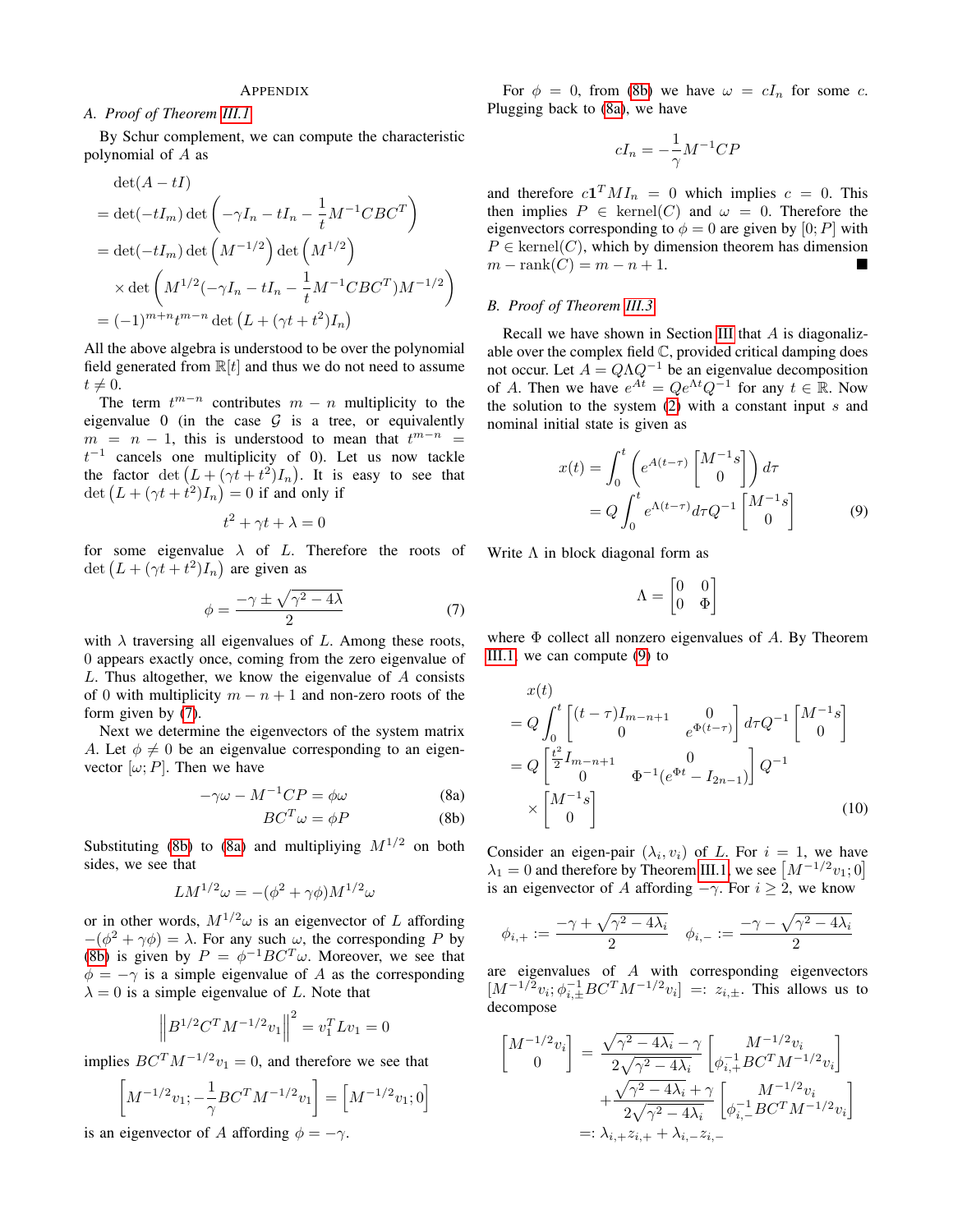#### APPENDIX

#### <span id="page-8-0"></span>*A. Proof of Theorem [III.1](#page-2-2)*

By Schur complement, we can compute the characteristic polynomial of A as

$$
\det(A - tI)
$$
  
= det(-tI<sub>m</sub>) det  $\left(-\gamma I_n - tI_n - \frac{1}{t}M^{-1}CBC^T\right)$   
= det(-tI<sub>m</sub>) det  $\left(M^{-1/2}\right)$  det  $\left(M^{1/2}\right)$   
 $\times$  det  $\left(M^{1/2}(-\gamma I_n - tI_n - \frac{1}{t}M^{-1}CBC^T)M^{-1/2}\right)$   
=  $(-1)^{m+n}t^{m-n}$  det  $\left(L + (\gamma t + t^2)I_n\right)$ 

All the above algebra is understood to be over the polynomial field generated from  $\mathbb{R}[t]$  and thus we do not need to assume  $t \neq 0.$ 

The term  $t^{m-n}$  contributes  $m - n$  multiplicity to the eigenvalue 0 (in the case  $G$  is a tree, or equivalently  $m = n - 1$ , this is understood to mean that  $t^{m-n} =$  $t^{-1}$  cancels one multiplicity of 0). Let us now tackle the factor  $\det (L + (\gamma t + t^2)I_n)$ . It is easy to see that det  $(L + (\gamma t + \dot{t}^2)I_n) = 0$  if and only if

$$
t^2 + \gamma t + \lambda = 0
$$

for some eigenvalue  $\lambda$  of L. Therefore the roots of det  $(L + (\gamma t + t^2)I_n)$  are given as

<span id="page-8-2"></span>
$$
\phi = \frac{-\gamma \pm \sqrt{\gamma^2 - 4\lambda}}{2} \tag{7}
$$

with  $\lambda$  traversing all eigenvalues of L. Among these roots, 0 appears exactly once, coming from the zero eigenvalue of L. Thus altogether, we know the eigenvalue of A consists of 0 with multiplicity  $m - n + 1$  and non-zero roots of the form given by [\(7\)](#page-8-2).

Next we determine the eigenvectors of the system matrix A. Let  $\phi \neq 0$  be an eigenvalue corresponding to an eigenvector  $[\omega; P]$ . Then we have

$$
-\gamma \omega - M^{-1}CP = \phi \omega \tag{8a}
$$

<span id="page-8-3"></span>
$$
BC^T \omega = \phi P \tag{8b}
$$

Substituting [\(8b\)](#page-8-3) to [\(8a\)](#page-8-3) and multipliying  $M^{1/2}$  on both sides, we see that

$$
LM^{1/2}\omega = -(\phi^2 + \gamma\phi)M^{1/2}\omega
$$

or in other words,  $M^{1/2}\omega$  is an eigenvector of L affording  $-(\phi^2 + \gamma \phi) = \lambda$ . For any such  $\omega$ , the corresponding P by [\(8b\)](#page-8-3) is given by  $P = \phi^{-1} B C^T \omega$ . Moreover, we see that  $\phi = -\gamma$  is a simple eigenvalue of A as the corresponding  $\lambda = 0$  is a simple eigenvalue of L. Note that

$$
\left\| B^{1/2} C^T M^{-1/2} v_1 \right\|^2 = v_1^T L v_1 = 0
$$

implies  $BC^{T}M^{-1/2}v_1 = 0$ , and therefore we see that

$$
\[M^{-1/2}v_1; -\frac{1}{\gamma}BC^T M^{-1/2}v_1\] = \[M^{-1/2}v_1; 0\]
$$

is an eigenvector of A affording  $\phi = -\gamma$ .

For  $\phi = 0$ , from [\(8b\)](#page-8-3) we have  $\omega = cI_n$  for some c. Plugging back to [\(8a\)](#page-8-3), we have

$$
cI_n = -\frac{1}{\gamma}M^{-1}CP
$$

and therefore  $c\mathbf{1}^T M I_n = 0$  which implies  $c = 0$ . This then implies  $P \in \text{kernel}(C)$  and  $\omega = 0$ . Therefore the eigenvectors corresponding to  $\phi = 0$  are given by [0; P] with  $P \in \text{kernel}(C)$ , which by dimension theorem has dimension  $m - \text{rank}(C) = m - n + 1.$ 

# <span id="page-8-1"></span>*B. Proof of Theorem [III.3](#page-3-2)*

Recall we have shown in Section [III](#page-2-0) that  $A$  is diagonalizable over the complex field C, provided critical damping does not occur. Let  $A = Q\Lambda Q^{-1}$  be an eigenvalue decomposition of A. Then we have  $e^{At} = Qe^{\Lambda t}Q^{-1}$  for any  $t \in \mathbb{R}$ . Now the solution to the system  $(2)$  with a constant input s and nominal initial state is given as

$$
x(t) = \int_0^t \left( e^{A(t-\tau)} \begin{bmatrix} M^{-1}s \\ 0 \end{bmatrix} \right) d\tau
$$
  
=  $Q \int_0^t e^{\Lambda(t-\tau)} d\tau Q^{-1} \begin{bmatrix} M^{-1}s \\ 0 \end{bmatrix}$  (9)

Write  $\Lambda$  in block diagonal form as

$$
\Lambda = \begin{bmatrix} 0 & 0 \\ 0 & \Phi \end{bmatrix}
$$

where  $\Phi$  collect all nonzero eigenvalues of A. By Theorem [III.1,](#page-2-2) we can compute [\(9\)](#page-8-1) to

$$
x(t)
$$
  
=  $Q \int_0^t \begin{bmatrix} (t-\tau)I_{m-n+1} & 0\\ 0 & e^{\Phi(t-\tau)} \end{bmatrix} d\tau Q^{-1} \begin{bmatrix} M^{-1}s\\ 0 \end{bmatrix}$   
=  $Q \begin{bmatrix} \frac{t^2}{2}I_{m-n+1} & 0\\ 0 & \Phi^{-1}(e^{\Phi t} - I_{2n-1}) \end{bmatrix} Q^{-1}$   
 $\times \begin{bmatrix} M^{-1}s\\ 0 \end{bmatrix}$  (10)

Consider an eigen-pair  $(\lambda_i, v_i)$  of L. For  $i = 1$ , we have  $\lambda_1 = 0$  and therefore by Theorem [III.1,](#page-2-2) we see  $\left[ M^{-1/2} v_1; 0 \right]$ is an eigenvector of A affording  $-\gamma$ . For  $i \geq 2$ , we know

$$
\phi_{i,+}:=\frac{-\gamma+\sqrt{\gamma^2-4\lambda_i}}{2}\quad \phi_{i,-}:=\frac{-\gamma-\sqrt{\gamma^2-4\lambda_i}}{2}
$$

are eigenvalues of A with corresponding eigenvectors  $[M^{-1/2}v_i; \phi_{i,\pm}^{-1}BC^T M^{-1/2}v_i] =: z_{i,\pm}$ . This allows us to decompose

$$
\begin{aligned} \begin{bmatrix} M^{-1/2}v_i \\ 0 \end{bmatrix} \, &= \, \frac{\sqrt{\gamma^2 - 4\lambda_i} - \gamma}{2\sqrt{\gamma^2 - 4\lambda_i}} \begin{bmatrix} M^{-1/2}v_i \\ \phi_{i,+}^{-1} B C^T M^{-1/2} v_i \end{bmatrix} \\ &\quad + \frac{\sqrt{\gamma^2 - 4\lambda_i} + \gamma}{2\sqrt{\gamma^2 - 4\lambda_i}} \begin{bmatrix} M^{-1/2}v_i \\ \phi_{i,-}^{-1} B C^T M^{-1/2} v_i \end{bmatrix} \\ &=: \lambda_{i,+} z_{i,+} + \lambda_{i,-} z_{i,-} \end{aligned}
$$